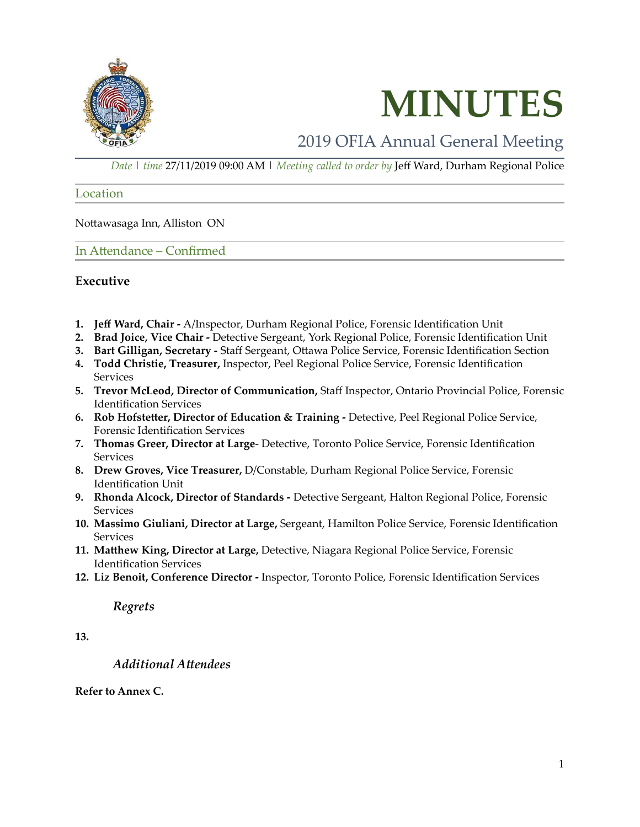



# 2019 OFIA Annual General Meeting

*Date | time* 27/11/2019 09:00 AM | *Meeting called to order by* Jeff Ward, Durham Regional Police

#### Location

Nottawasaga Inn, Alliston ON

In Attendance – Confirmed

### **Executive**

- **1. Jeff Ward, Chair -** A/Inspector, Durham Regional Police, Forensic Identification Unit
- **2. Brad Joice, Vice Chair -** Detective Sergeant, York Regional Police, Forensic Identification Unit
- **3. Bart Gilligan, Secretary -** Staff Sergeant, Ottawa Police Service, Forensic Identification Section
- **4. Todd Christie, Treasurer,** Inspector, Peel Regional Police Service, Forensic Identification **Services**
- **5. Trevor McLeod, Director of Communication,** Staff Inspector, Ontario Provincial Police, Forensic Identification Services
- **6. Rob Hofstetter, Director of Education & Training -** Detective, Peel Regional Police Service, Forensic Identification Services
- **7. Thomas Greer, Director at Large** Detective, Toronto Police Service, Forensic Identification Services
- **8. Drew Groves, Vice Treasurer,** D/Constable, Durham Regional Police Service, Forensic Identification Unit
- **9. Rhonda Alcock, Director of Standards -** Detective Sergeant, Halton Regional Police, Forensic **Services**
- **10. Massimo Giuliani, Director at Large,** Sergeant, Hamilton Police Service, Forensic Identification Services
- **11. Matthew King, Director at Large,** Detective, Niagara Regional Police Service, Forensic Identification Services
- **12. Liz Benoit, Conference Director -** Inspector, Toronto Police, Forensic Identification Services

### *Regrets*

**13.**

### *Additional Attendees*

### **Refer to Annex C.**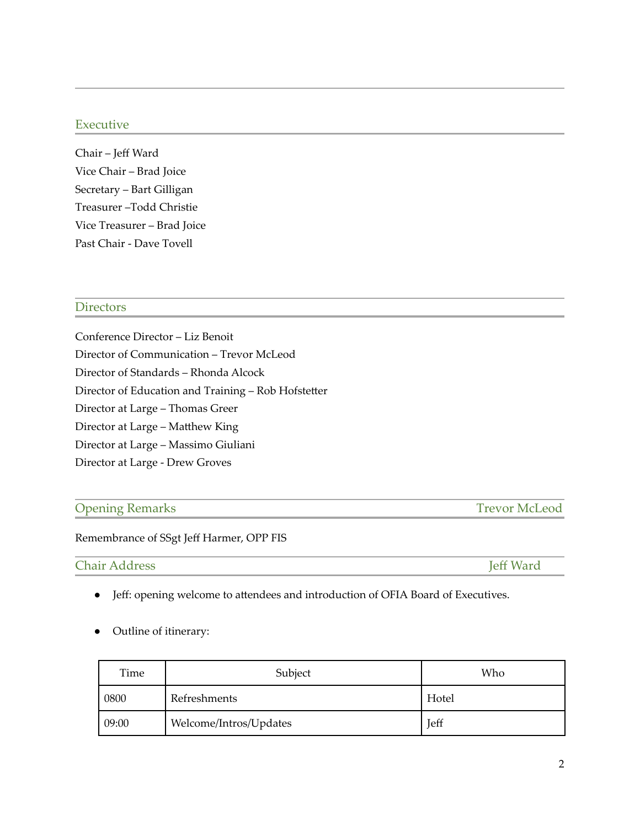## Executive

Chair – Jeff Ward Vice Chair – Brad Joice Secretary – Bart Gilligan Treasurer –Todd Christie Vice Treasurer – Brad Joice Past Chair - Dave Tovell

### **Directors**

Conference Director – Liz Benoit Director of Communication – Trevor McLeod Director of Standards – Rhonda Alcock Director of Education and Training – Rob Hofstetter Director at Large – Thomas Greer Director at Large – Matthew King Director at Large – Massimo Giuliani Director at Large - Drew Groves

## Opening Remarks Trevor McLeod

Remembrance of SSgt Jeff Harmer, OPP FIS

Chair Address Jeff Ward

- Jeff: opening welcome to attendees and introduction of OFIA Board of Executives.
- Outline of itinerary:

| Time  | Subject                | Who   |
|-------|------------------------|-------|
| 0800  | Refreshments           | Hotel |
| 09:00 | Welcome/Intros/Updates | Jeff  |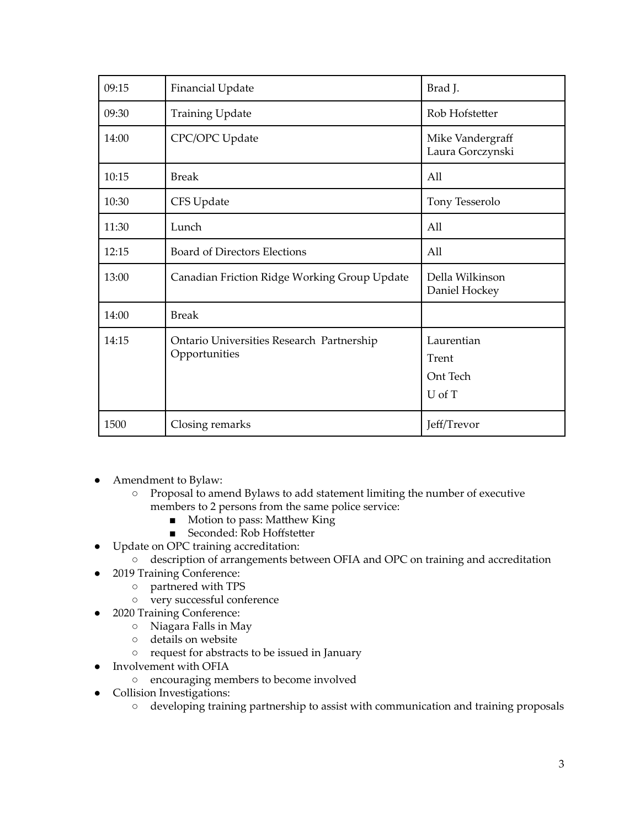| 09:15 | <b>Financial Update</b>                                    | Brad J.                                   |
|-------|------------------------------------------------------------|-------------------------------------------|
| 09:30 | <b>Training Update</b>                                     | Rob Hofstetter                            |
| 14:00 | CPC/OPC Update                                             | Mike Vandergraff<br>Laura Gorczynski      |
| 10:15 | <b>Break</b>                                               | All                                       |
| 10:30 | CFS Update                                                 | Tony Tesserolo                            |
| 11:30 | Lunch                                                      | All                                       |
| 12:15 | <b>Board of Directors Elections</b>                        | All                                       |
| 13:00 | Canadian Friction Ridge Working Group Update               | Della Wilkinson<br>Daniel Hockey          |
| 14:00 | <b>Break</b>                                               |                                           |
| 14:15 | Ontario Universities Research Partnership<br>Opportunities | Laurentian<br>Trent<br>Ont Tech<br>U of T |
| 1500  | Closing remarks                                            | Jeff/Trevor                               |

- Amendment to Bylaw:
	- Proposal to amend Bylaws to add statement limiting the number of executive members to 2 persons from the same police service:
		- Motion to pass: Matthew King
		- Seconded: Rob Hoffstetter
- Update on OPC training accreditation:
	- description of arrangements between OFIA and OPC on training and accreditation
- 2019 Training Conference:
	- partnered with TPS
	- very successful conference
- 2020 Training Conference:
	- Niagara Falls in May
	- details on website
	- request for abstracts to be issued in January
- Involvement with OFIA
	- encouraging members to become involved
- Collision Investigations:
	- developing training partnership to assist with communication and training proposals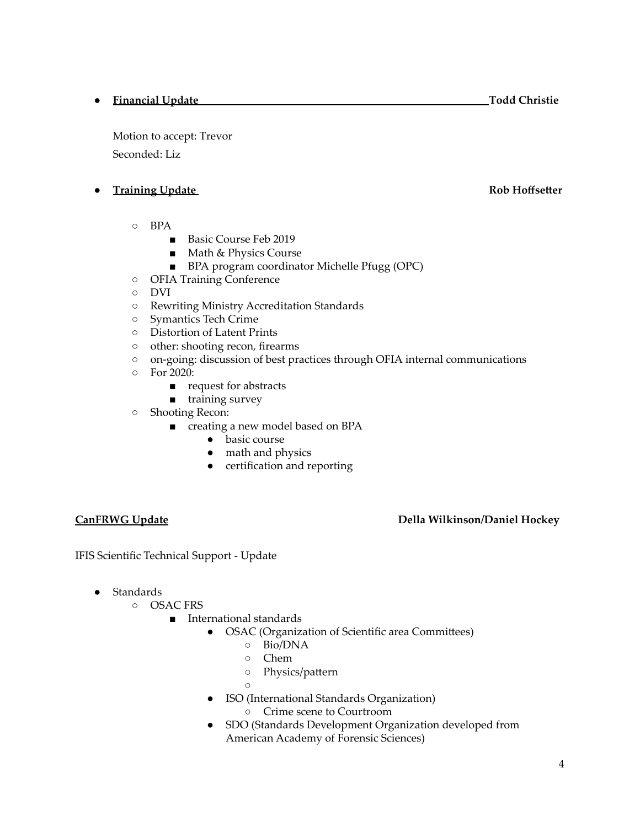## ● **Financial Update Todd Christie**

Motion to accept: Trevor Seconded: Liz

# **Training Update Rob Hoffsetter**

- BPA
	- Basic Course Feb 2019
	- Math & Physics Course
	- BPA program coordinator Michelle Pfugg (OPC)
- OFIA Training Conference
- DVI
- Rewriting Ministry Accreditation Standards
- Symantics Tech Crime
- Distortion of Latent Prints
- other: shooting recon, firearms
- on-going: discussion of best practices through OFIA internal communications
- For 2020:
	- request for abstracts
	- training survey
- Shooting Recon:
	- creating a new model based on BPA
		- basic course
		- math and physics
		- certification and reporting

# **CanFRWG Update Della Wilkinson/Daniel Hockey**

IFIS Scientific Technical Support - Update

- Standards
	- OSAC FRS
		- International standards
			- OSAC (Organization of Scientific area Committees)
				- Bio/DNA
				- Chem
				- Physics/pattern
				- $\Omega$
				- ISO (International Standards Organization)
					- Crime scene to Courtroom
				- SDO (Standards Development Organization developed from American Academy of Forensic Sciences)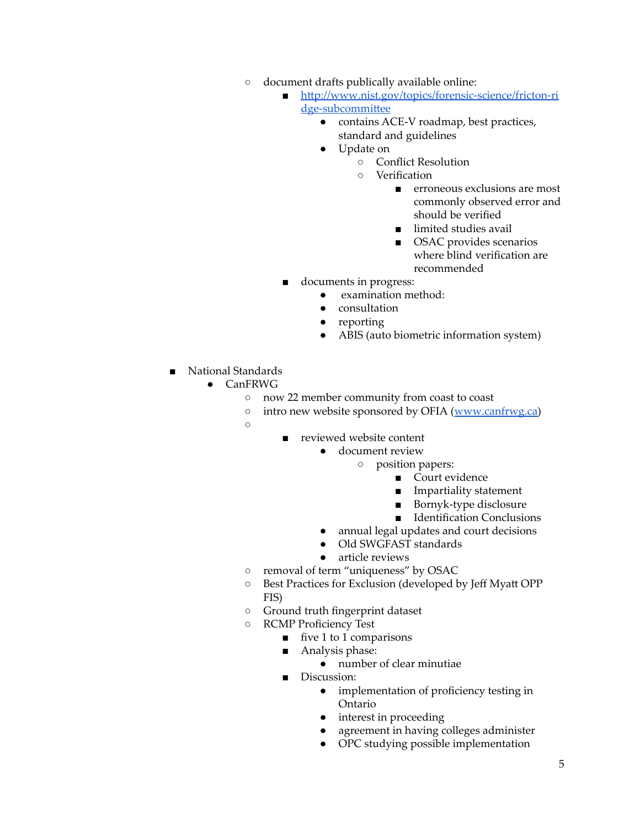- document drafts publically available online:
	- [http://www.nist.gov/topics/forensic-science/fricton-ri](http://www.nist.gov/topics/forensic-science/fricton-ridge-subcommittee) [dge-subcommittee](http://www.nist.gov/topics/forensic-science/fricton-ridge-subcommittee)
		- contains ACE-V roadmap, best practices, standard and guidelines
		- Update on
			- Conflict Resolution
			- Verification
				- erroneous exclusions are most commonly observed error and should be verified
				- limited studies avail
				- OSAC provides scenarios where blind verification are recommended
	- documents in progress:
		- examination method:
		- consultation
		- reporting
		- ABIS (auto biometric information system)
- National Standards
	- CanFRWG
		- now 22 member community from coast to coast
		- intro new website sponsored by OFIA ([www.canfrwg.ca\)](http://www.canfrwg.ca)
		- $\circ$
- reviewed website content
	- document review
		- position papers:
			- Court evidence
			- Impartiality statement
			- Bornyk-type disclosure
			- Identification Conclusions
	- annual legal updates and court decisions
	- Old SWGFAST standards
	- article reviews
- removal of term "uniqueness" by OSAC
- Best Practices for Exclusion (developed by Jeff Myatt OPP FIS)
- Ground truth fingerprint dataset
- RCMP Proficiency Test
	- $\blacksquare$  five 1 to 1 comparisons
	- Analysis phase:
		- $\bullet$  number of clear minutiae
	- Discussion:
		- implementation of proficiency testing in Ontario
		- interest in proceeding
		- agreement in having colleges administer
		- OPC studying possible implementation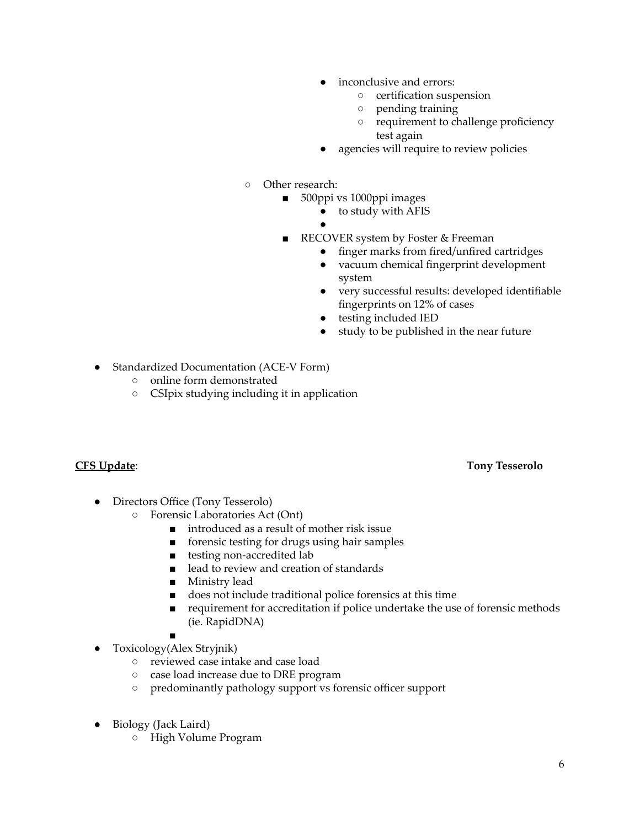- inconclusive and errors:
	- certification suspension
	- pending training
	- requirement to challenge proficiency test again
- agencies will require to review policies
- Other research:
	- 500ppi vs 1000ppi images
		- to study with AFIS
		- ●
	- RECOVER system by Foster & Freeman
		- finger marks from fired/unfired cartridges
		- vacuum chemical fingerprint development system
		- very successful results: developed identifiable fingerprints on 12% of cases
		- testing included IED
		- study to be published in the near future
- Standardized Documentation (ACE-V Form)
	- online form demonstrated
	- CSIpix studying including it in application

- Directors Office (Tony Tesserolo)
	- Forensic Laboratories Act (Ont)
		- introduced as a result of mother risk issue
		- forensic testing for drugs using hair samples
		- testing non-accredited lab
		- lead to review and creation of standards
		- Ministry lead
		- does not include traditional police forensics at this time
		- requirement for accreditation if police undertake the use of forensic methods (ie. RapidDNA)
		- ■
- Toxicology(Alex Stryjnik)
	- reviewed case intake and case load
	- case load increase due to DRE program
	- predominantly pathology support vs forensic officer support
- Biology (Jack Laird)
	- High Volume Program

# **CFS Update**: **Tony Tesserolo**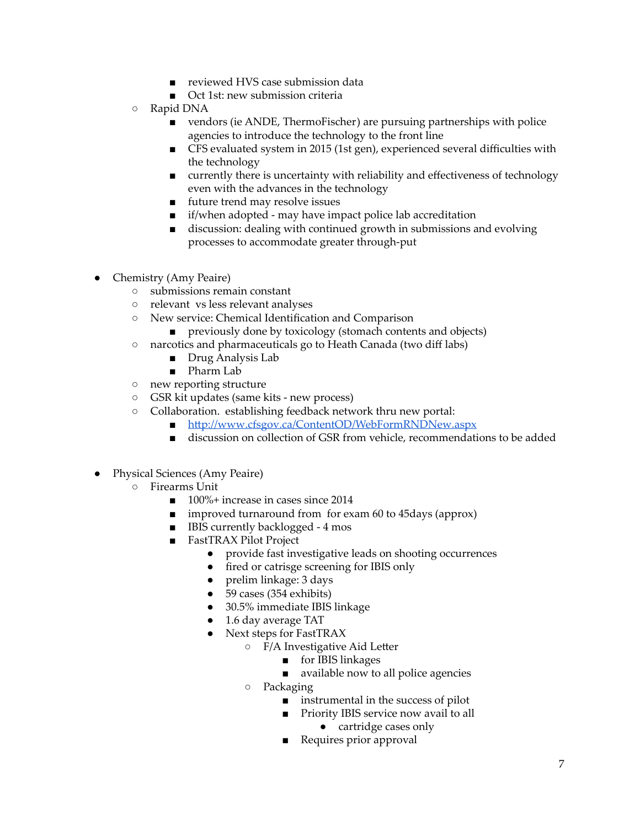- reviewed HVS case submission data
- Oct 1st: new submission criteria
- Rapid DNA
	- vendors (ie ANDE, ThermoFischer) are pursuing partnerships with police agencies to introduce the technology to the front line
	- CFS evaluated system in 2015 (1st gen), experienced several difficulties with the technology
	- currently there is uncertainty with reliability and effectiveness of technology even with the advances in the technology
	- future trend may resolve issues
	- if/when adopted may have impact police lab accreditation
	- discussion: dealing with continued growth in submissions and evolving processes to accommodate greater through-put
- Chemistry (Amy Peaire)
	- submissions remain constant
	- relevant vs less relevant analyses
	- New service: Chemical Identification and Comparison
		- previously done by toxicology (stomach contents and objects)
	- narcotics and pharmaceuticals go to Heath Canada (two diff labs)
		- Drug Analysis Lab
		- Pharm Lab
	- new reporting structure
	- GSR kit updates (same kits new process)
	- Collaboration. establishing feedback network thru new portal:
		- <http://www.cfsgov.ca/ContentOD/WebFormRNDNew.aspx>
		- discussion on collection of GSR from vehicle, recommendations to be added
- Physical Sciences (Amy Peaire)
	- Firearms Unit
		- 100%+ increase in cases since 2014
		- improved turnaround from for exam 60 to 45 days (approx)
		- IBIS currently backlogged 4 mos
		- FastTRAX Pilot Project
			- provide fast investigative leads on shooting occurrences
			- fired or catrisge screening for IBIS only
			- prelim linkage: 3 days
			- 59 cases (354 exhibits)
			- 30.5% immediate IBIS linkage
			- 1.6 day average TAT
			- Next steps for FastTRAX
				- F/A Investigative Aid Letter
					- for IBIS linkages
					- available now to all police agencies
				- Packaging
					- instrumental in the success of pilot
					- Priority IBIS service now avail to all ● cartridge cases only
					- Requires prior approval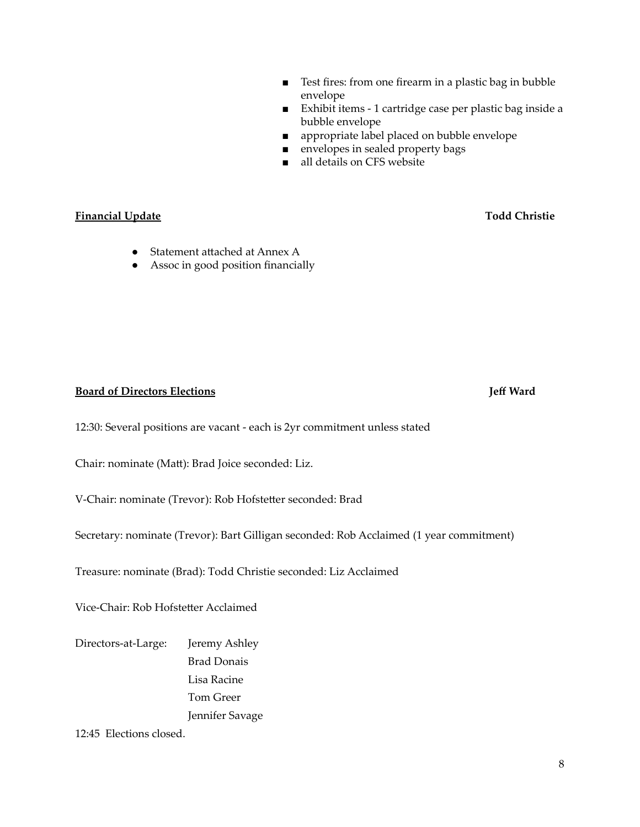- Test fires: from one firearm in a plastic bag in bubble envelope
- Exhibit items 1 cartridge case per plastic bag inside a bubble envelope
- appropriate label placed on bubble envelope
- envelopes in sealed property bags
- all details on CFS website

### **Financial Update Todd Christie**

- Statement attached at Annex A
- Assoc in good position financially

#### **Board of Directors Elections Jeff Ward**

12:30: Several positions are vacant - each is 2yr commitment unless stated

Chair: nominate (Matt): Brad Joice seconded: Liz.

V-Chair: nominate (Trevor): Rob Hofstetter seconded: Brad

Secretary: nominate (Trevor): Bart Gilligan seconded: Rob Acclaimed (1 year commitment)

Treasure: nominate (Brad): Todd Christie seconded: Liz Acclaimed

Vice-Chair: Rob Hofstetter Acclaimed

Directors-at-Large: Jeremy Ashley Brad Donais Lisa Racine Tom Greer Jennifer Savage

12:45 Elections closed.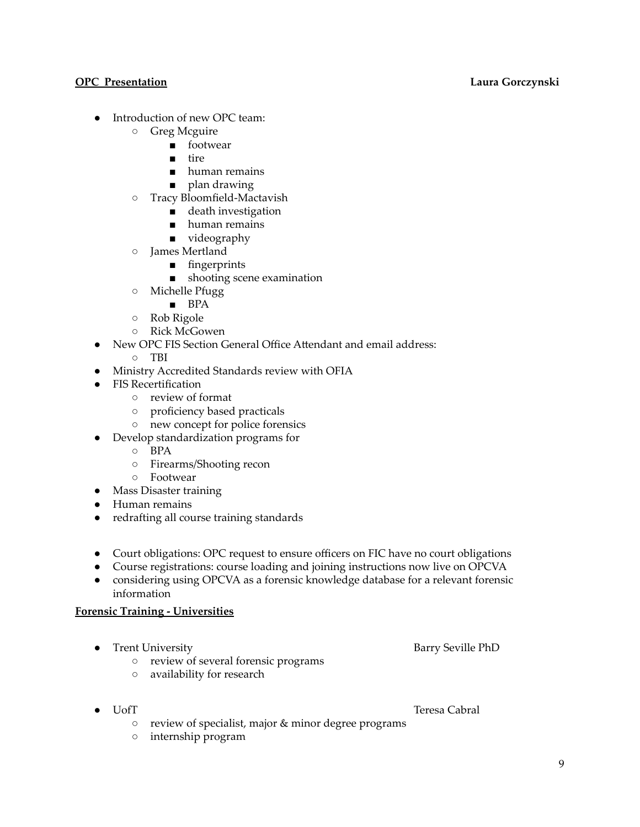#### **OPC Presentation Laura Gorczynski**

- Introduction of new OPC team:
	- Greg Mcguire
		- footwear
		- tire
		- human remains
		- plan drawing
	- Tracy Bloomfield-Mactavish
		- death investigation
		- human remains
		- videography
	- James Mertland
		- fingerprints
		- shooting scene examination
	- Michelle Pfugg
		- BPA
	- Rob Rigole
	- Rick McGowen
	- New OPC FIS Section General Office Attendant and email address:
		- TBI
- Ministry Accredited Standards review with OFIA
- FIS Recertification
	- review of format
	- proficiency based practicals
	- new concept for police forensics
- Develop standardization programs for
	- BPA
	- Firearms/Shooting recon
	- Footwear
- Mass Disaster training
- Human remains
- redrafting all course training standards
- Court obligations: OPC request to ensure officers on FIC have no court obligations
- Course registrations: course loading and joining instructions now live on OPCVA
- considering using OPCVA as a forensic knowledge database for a relevant forensic information

### **Forensic Training - Universities**

- Trent University **Barry Seville PhD** 
	- review of several forensic programs
	- availability for research
- 

● UofT Teresa Cabral

- review of specialist, major & minor degree programs
- internship program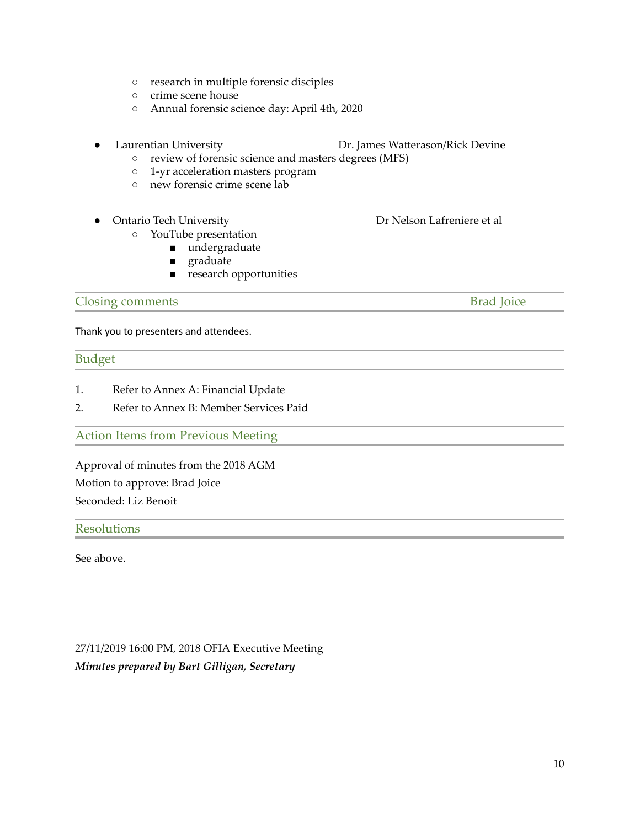- research in multiple forensic disciples
- crime scene house
- Annual forensic science day: April 4th, 2020
- 

#### Laurentian University **Dr. James Watterason/Rick Devine**

- review of forensic science and masters degrees (MFS)
- 1-yr acceleration masters program
- new forensic crime scene lab

### ● Ontario Tech University 
■ Dr Nelson Lafreniere et al

- YouTube presentation
	- undergraduate
	- graduate
	- research opportunities

### **Closing comments** Brad Joice

Thank you to presenters and attendees.

## Budget

- 1. Refer to Annex A: Financial Update
- 2. Refer to Annex B: Member Services Paid

Action Items from Previous Meeting

Approval of minutes from the 2018 AGM Motion to approve: Brad Joice Seconded: Liz Benoit

### Resolutions

See above.

27/11/2019 16:00 PM, 2018 OFIA Executive Meeting *Minutes prepared by Bart Gilligan, Secretary*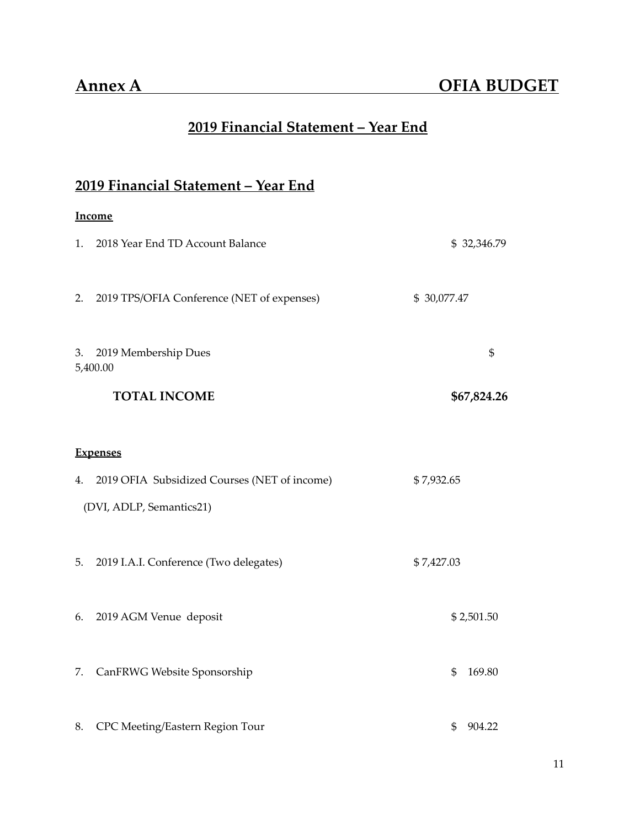# **2019 Financial Statement – Year End**

# **2019 Financial Statement – Year End**

### **Income**

| 1. | 2018 Year End TD Account Balance             | \$32,346.79  |
|----|----------------------------------------------|--------------|
| 2. | 2019 TPS/OFIA Conference (NET of expenses)   | \$30,077.47  |
| 3. | 2019 Membership Dues<br>5,400.00             | \$           |
|    | <b>TOTAL INCOME</b>                          | \$67,824.26  |
|    | <b>Expenses</b>                              |              |
| 4. | 2019 OFIA Subsidized Courses (NET of income) | \$7,932.65   |
|    | (DVI, ADLP, Semantics21)                     |              |
| 5. | 2019 I.A.I. Conference (Two delegates)       | \$7,427.03   |
| 6. | 2019 AGM Venue deposit                       | \$2,501.50   |
| 7. | CanFRWG Website Sponsorship                  | 169.80<br>\$ |
| 8. | CPC Meeting/Eastern Region Tour              | 904.22<br>\$ |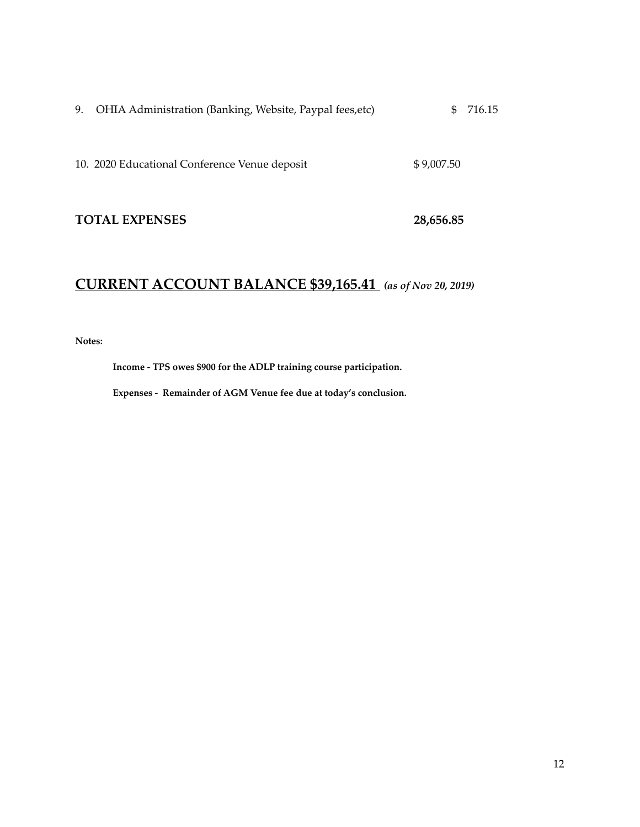| 9. OHIA Administration (Banking, Website, Paypal fees, etc) | \$716.15 |
|-------------------------------------------------------------|----------|
|                                                             |          |

10. 2020 Educational Conference Venue deposit \$ 9,007.50

## **TOTAL EXPENSES 28,656.85**

# **CURRENT ACCOUNT BALANCE \$39,165.41** *(as of Nov 20, 2019)*

**Notes:**

**Income - TPS owes \$900 for the ADLP training course participation.**

**Expenses - Remainder of AGM Venue fee due at today's conclusion.**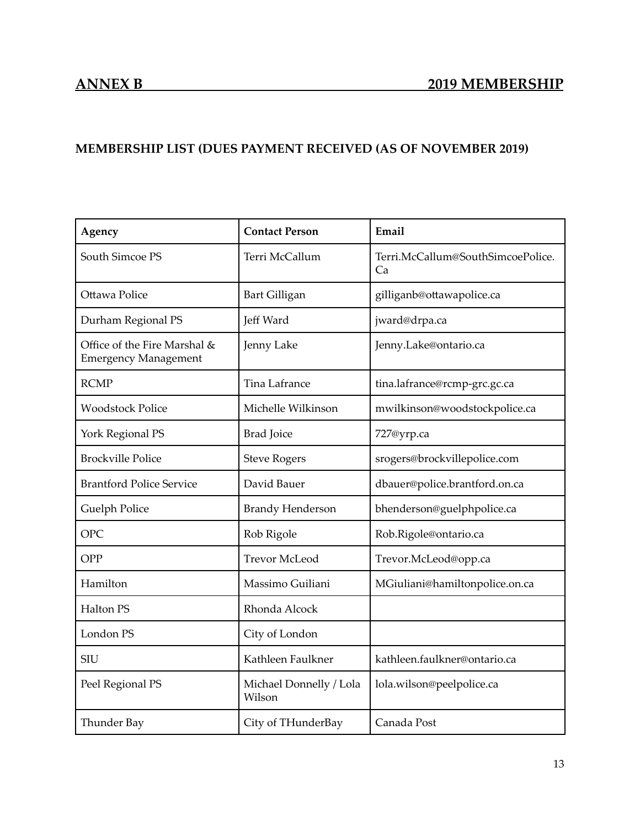# **MEMBERSHIP LIST (DUES PAYMENT RECEIVED (AS OF NOVEMBER 2019)**

| Agency                                                      | <b>Contact Person</b>             | Email                                   |
|-------------------------------------------------------------|-----------------------------------|-----------------------------------------|
| South Simcoe PS                                             | Terri McCallum                    | Terri.McCallum@SouthSimcoePolice.<br>Cа |
| Ottawa Police                                               | <b>Bart Gilligan</b>              | gilliganb@ottawapolice.ca               |
| Durham Regional PS                                          | Jeff Ward                         | jward@drpa.ca                           |
| Office of the Fire Marshal &<br><b>Emergency Management</b> | Jenny Lake                        | Jenny.Lake@ontario.ca                   |
| <b>RCMP</b>                                                 | Tina Lafrance                     | tina.lafrance@rcmp-grc.gc.ca            |
| <b>Woodstock Police</b>                                     | Michelle Wilkinson                | mwilkinson@woodstockpolice.ca           |
| York Regional PS                                            | <b>Brad Joice</b>                 | 727@yrp.ca                              |
| <b>Brockville Police</b>                                    | <b>Steve Rogers</b>               | srogers@brockvillepolice.com            |
| <b>Brantford Police Service</b>                             | David Bauer                       | dbauer@police.brantford.on.ca           |
| Guelph Police                                               | <b>Brandy Henderson</b>           | bhenderson@guelphpolice.ca              |
| <b>OPC</b>                                                  | Rob Rigole                        | Rob.Rigole@ontario.ca                   |
| OPP                                                         | <b>Trevor McLeod</b>              | Trevor.McLeod@opp.ca                    |
| Hamilton                                                    | Massimo Guiliani                  | MGiuliani@hamiltonpolice.on.ca          |
| Halton PS                                                   | Rhonda Alcock                     |                                         |
| London <sub>PS</sub>                                        | City of London                    |                                         |
| <b>SIU</b>                                                  | Kathleen Faulkner                 | kathleen.faulkner@ontario.ca            |
| Peel Regional PS                                            | Michael Donnelly / Lola<br>Wilson | lola.wilson@peelpolice.ca               |
| Thunder Bay                                                 | City of THunderBay                | Canada Post                             |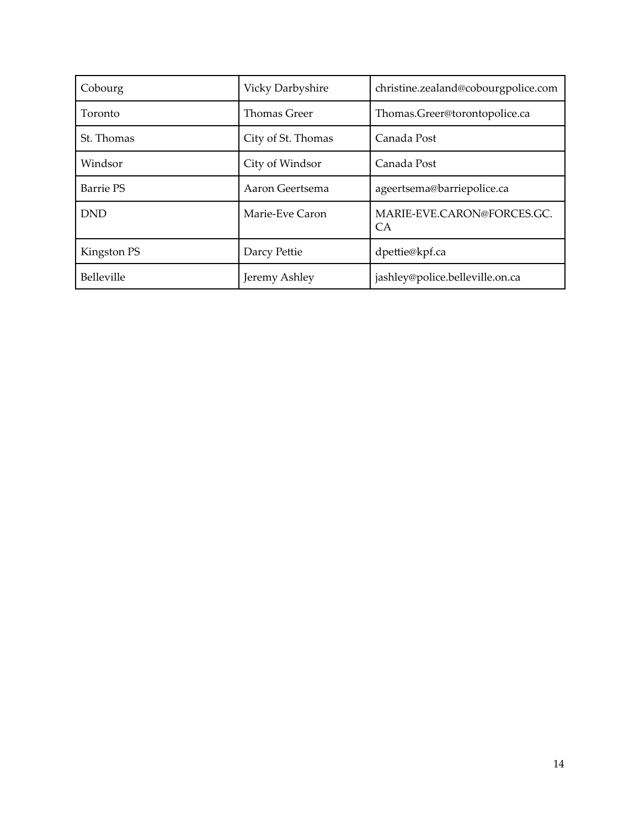| Cobourg     | Vicky Darbyshire    | christine.zealand@cobourgpolice.com          |
|-------------|---------------------|----------------------------------------------|
| Toronto     | <b>Thomas Greer</b> | Thomas.Greer@torontopolice.ca                |
| St. Thomas  | City of St. Thomas  | Canada Post                                  |
| Windsor     | City of Windsor     | Canada Post                                  |
| Barrie PS   | Aaron Geertsema     | ageertsema@barriepolice.ca                   |
| <b>DND</b>  | Marie-Eve Caron     | MARIE-EVE.CARON@FORCES.GC.<br>CA <sup></sup> |
| Kingston PS | Darcy Pettie        | dpettie@kpf.ca                               |
| Belleville  | Jeremy Ashley       | jashley@police.belleville.on.ca              |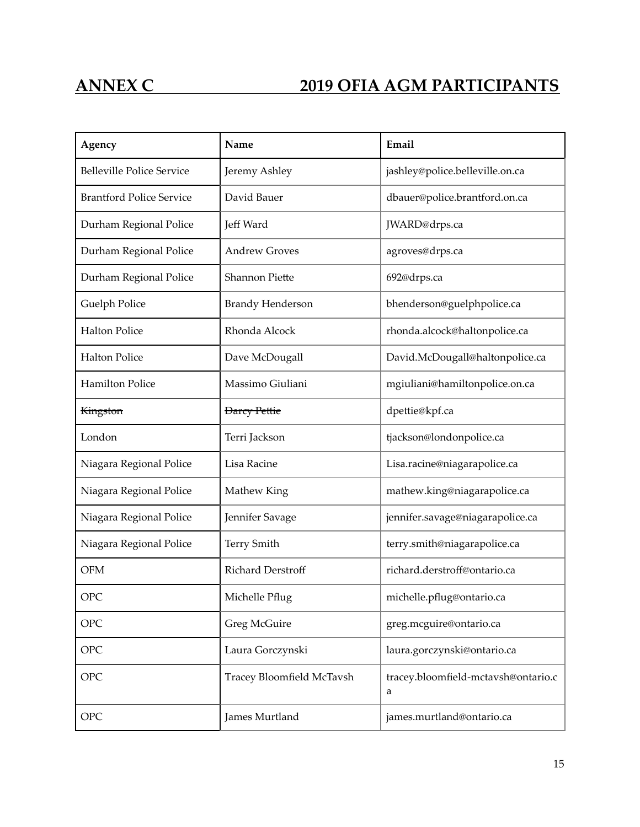# **ANNEX C 2019 OFIA AGM PARTICIPANTS**

| Agency                           | Name                      | Email                                    |
|----------------------------------|---------------------------|------------------------------------------|
| <b>Belleville Police Service</b> | Jeremy Ashley             | jashley@police.belleville.on.ca          |
| <b>Brantford Police Service</b>  | David Bauer               | dbauer@police.brantford.on.ca            |
| Durham Regional Police           | Jeff Ward                 | JWARD@drps.ca                            |
| Durham Regional Police           | <b>Andrew Groves</b>      | agroves@drps.ca                          |
| Durham Regional Police           | <b>Shannon Piette</b>     | 692@drps.ca                              |
| <b>Guelph Police</b>             | <b>Brandy Henderson</b>   | bhenderson@guelphpolice.ca               |
| <b>Halton Police</b>             | Rhonda Alcock             | rhonda.alcock@haltonpolice.ca            |
| <b>Halton Police</b>             | Dave McDougall            | David.McDougall@haltonpolice.ca          |
| <b>Hamilton Police</b>           | Massimo Giuliani          | mgiuliani@hamiltonpolice.on.ca           |
| <b>Kingston</b>                  | <b>Darcy Pettie</b>       | dpettie@kpf.ca                           |
| London                           | Terri Jackson             | tjackson@londonpolice.ca                 |
| Niagara Regional Police          | Lisa Racine               | Lisa.racine@niagarapolice.ca             |
| Niagara Regional Police          | Mathew King               | mathew.king@niagarapolice.ca             |
| Niagara Regional Police          | Jennifer Savage           | jennifer.savage@niagarapolice.ca         |
| Niagara Regional Police          | <b>Terry Smith</b>        | terry.smith@niagarapolice.ca             |
| <b>OFM</b>                       | Richard Derstroff         | richard.derstroff@ontario.ca             |
| <b>OPC</b>                       | Michelle Pflug            | michelle.pflug@ontario.ca                |
| <b>OPC</b>                       | Greg McGuire              | greg.mcguire@ontario.ca                  |
| <b>OPC</b>                       | Laura Gorczynski          | laura.gorczynski@ontario.ca              |
| <b>OPC</b>                       | Tracey Bloomfield McTavsh | tracey.bloomfield-mctavsh@ontario.c<br>a |
| <b>OPC</b>                       | James Murtland            | james.murtland@ontario.ca                |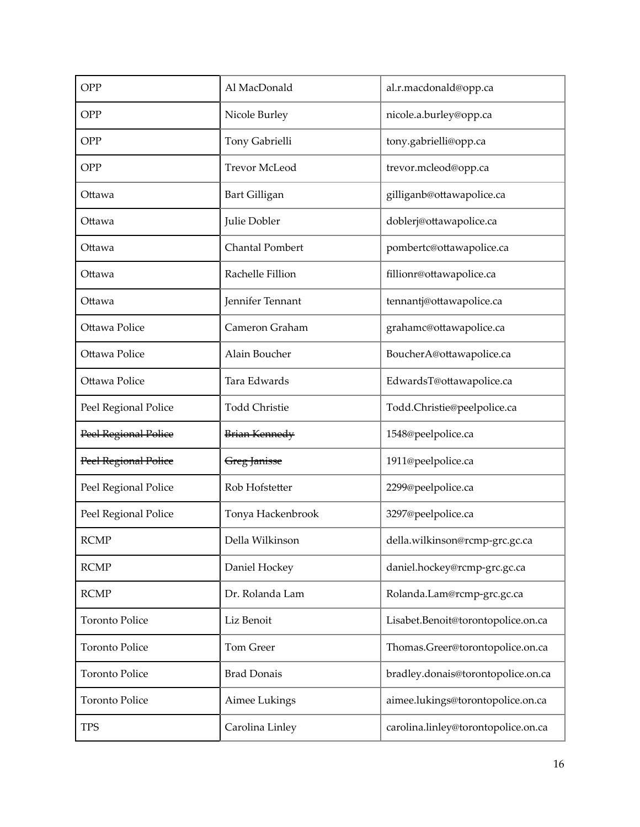| OPP                   | Al MacDonald           | al.r.macdonald@opp.ca               |
|-----------------------|------------------------|-------------------------------------|
| OPP                   | Nicole Burley          | nicole.a.burley@opp.ca              |
| OPP                   | Tony Gabrielli         | tony.gabrielli@opp.ca               |
| OPP                   | <b>Trevor McLeod</b>   | trevor.mcleod@opp.ca                |
| Ottawa                | <b>Bart Gilligan</b>   | gilliganb@ottawapolice.ca           |
| Ottawa                | Julie Dobler           | doblerj@ottawapolice.ca             |
| Ottawa                | <b>Chantal Pombert</b> | pombertc@ottawapolice.ca            |
| Ottawa                | Rachelle Fillion       | fillionr@ottawapolice.ca            |
| Ottawa                | Jennifer Tennant       | tennantj@ottawapolice.ca            |
| Ottawa Police         | Cameron Graham         | grahamc@ottawapolice.ca             |
| Ottawa Police         | Alain Boucher          | BoucherA@ottawapolice.ca            |
| Ottawa Police         | Tara Edwards           | EdwardsT@ottawapolice.ca            |
| Peel Regional Police  | <b>Todd Christie</b>   | Todd.Christie@peelpolice.ca         |
| Peel Regional Police  | Brian Kennedy          | 1548@peelpolice.ca                  |
| Peel Regional Police  | Greg Janisse           | 1911@peelpolice.ca                  |
| Peel Regional Police  | Rob Hofstetter         | 2299@peelpolice.ca                  |
| Peel Regional Police  | Tonya Hackenbrook      | 3297@peelpolice.ca                  |
| <b>RCMP</b>           | Della Wilkinson        | della.wilkinson@rcmp-grc.gc.ca      |
| <b>RCMP</b>           | Daniel Hockey          | daniel.hockey@rcmp-grc.gc.ca        |
| <b>RCMP</b>           | Dr. Rolanda Lam        | Rolanda.Lam@rcmp-grc.gc.ca          |
| <b>Toronto Police</b> | Liz Benoit             | Lisabet.Benoit@torontopolice.on.ca  |
| <b>Toronto Police</b> | Tom Greer              | Thomas.Greer@torontopolice.on.ca    |
| <b>Toronto Police</b> | <b>Brad Donais</b>     | bradley.donais@torontopolice.on.ca  |
| <b>Toronto Police</b> | Aimee Lukings          | aimee.lukings@torontopolice.on.ca   |
| <b>TPS</b>            | Carolina Linley        | carolina.linley@torontopolice.on.ca |